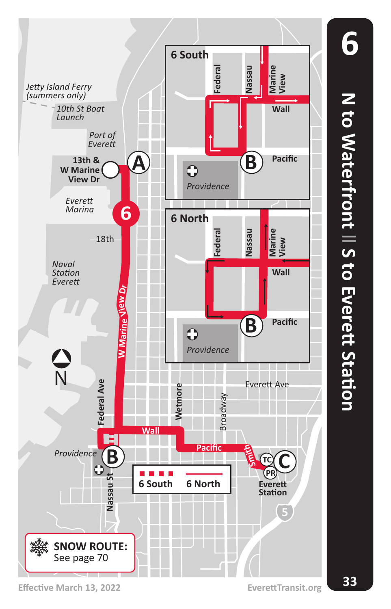

**N to Waterfront** N to Waterfront || S to Evett Station  **S to Everett Station**

**6**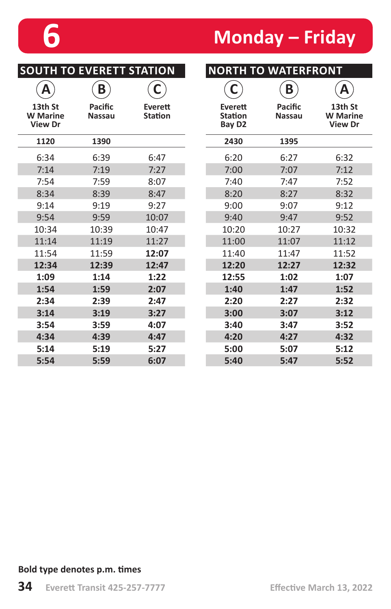## **6 Monday – Friday**

| <b>SOUTH TO EVERETT STATION</b>              |                          |                           | <b>NORTH TO WATERFRONT</b>                      |                          |                                              |  |
|----------------------------------------------|--------------------------|---------------------------|-------------------------------------------------|--------------------------|----------------------------------------------|--|
| Α                                            | B                        | С                         | С                                               | B                        | Α                                            |  |
| 13th St<br><b>W</b> Marine<br><b>View Dr</b> | Pacific<br><b>Nassau</b> | Everett<br><b>Station</b> | Everett<br><b>Station</b><br>Bay D <sub>2</sub> | Pacific<br><b>Nassau</b> | 13th St<br><b>W</b> Marine<br><b>View Dr</b> |  |
| 1120                                         | 1390                     |                           | 2430                                            | 1395                     |                                              |  |
| 6:34                                         | 6:39                     | 6:47                      | 6:20                                            | 6:27                     | 6:32                                         |  |
| 7:14                                         | 7:19                     | 7:27                      | 7:00                                            | 7:07                     | 7:12                                         |  |
| 7:54                                         | 7:59                     | 8:07                      | 7:40                                            | 7:47                     | 7:52                                         |  |
| 8:34                                         | 8:39                     | 8:47                      | 8:20                                            | 8:27                     | 8:32                                         |  |
| 9:14                                         | 9:19                     | 9:27                      | 9:00                                            | 9:07                     | 9:12                                         |  |
| 9:54                                         | 9:59                     | 10:07                     | 9:40                                            | 9:47                     | 9:52                                         |  |
| 10:34                                        | 10:39                    | 10:47                     | 10:20                                           | 10:27                    | 10:32                                        |  |
| 11:14                                        | 11:19                    | 11:27                     | 11:00                                           | 11:07                    | 11:12                                        |  |
| 11:54                                        | 11:59                    | 12:07                     | 11:40                                           | 11:47                    | 11:52                                        |  |
| 12:34                                        | 12:39                    | 12:47                     | 12:20                                           | 12:27                    | 12:32                                        |  |
| 1:09                                         | 1:14                     | 1:22                      | 12:55                                           | 1:02                     | 1:07                                         |  |
| 1:54                                         | 1:59                     | 2:07                      | 1:40                                            | 1:47                     | 1:52                                         |  |
| 2:34                                         | 2:39                     | 2:47                      | 2:20                                            | 2:27                     | 2:32                                         |  |
| 3:14                                         | 3:19                     | 3:27                      | 3:00                                            | 3:07                     | 3:12                                         |  |
| 3:54                                         | 3:59                     | 4:07                      | 3:40                                            | 3:47                     | 3:52                                         |  |
| 4:34                                         | 4:39                     | 4:47                      | 4:20                                            | 4:27                     | 4:32                                         |  |
| 5:14                                         | 5:19                     | 5:27                      | 5:00                                            | 5:07                     | 5:12                                         |  |
| 5:54                                         | 5:59                     | 6:07                      | 5:40                                            | 5:47                     | 5:52                                         |  |
|                                              |                          |                           |                                                 |                          |                                              |  |

### **Bold type denotes p.m. times**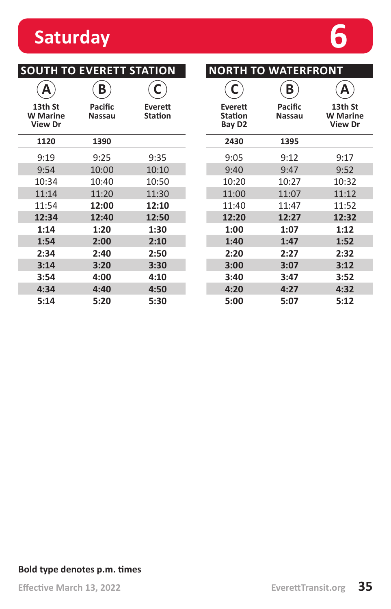### **Saturday 6**

| <b>SOUTH TO EVERETT STATION</b>              | <b>NORTH T</b>           |                           |                                                 |
|----------------------------------------------|--------------------------|---------------------------|-------------------------------------------------|
|                                              | Β                        | C                         | C                                               |
| 13th St<br><b>W</b> Marine<br><b>View Dr</b> | Pacific<br><b>Nassau</b> | Everett<br><b>Station</b> | Everett<br><b>Station</b><br>Bay D <sub>2</sub> |
| 1120                                         | 1390                     |                           | 2430                                            |
| 9:19                                         | 9:25                     | 9:35                      | 9:05                                            |
| 9:54                                         | 10:00                    | 10:10                     | 9:40                                            |
| 10:34                                        | 10:40                    | 10:50                     | 10:20                                           |
| 11:14                                        | 11:20                    | 11:30                     | 11:00                                           |
| 11:54                                        | 12:00                    | 12:10                     | 11:40                                           |
| 12:34                                        | 12:40                    | 12:50                     | 12:20                                           |
| 1:14                                         | 1:20                     | 1:30                      | 1:00                                            |
| 1:54                                         | 2:00                     | 2:10                      | 1:40                                            |
| 2:34                                         | 2:40                     | 2:50                      | 2:20                                            |
| 3:14                                         | 3:20                     | 3:30                      | 3:00                                            |
| 3:54                                         | 4:00                     | 4:10                      | 3:40                                            |
| 4:34                                         | 4:40                     | 4:50                      | 4:20                                            |
| 5:14                                         | 5:20                     | 5:30                      | 5:00                                            |

| <b>NORTH TO WATERFRONT</b>                      |                   |                                              |  |  |  |
|-------------------------------------------------|-------------------|----------------------------------------------|--|--|--|
| C                                               | B                 |                                              |  |  |  |
| Everett<br><b>Station</b><br>Bay D <sub>2</sub> | Pacific<br>Nassau | 13th St<br><b>W</b> Marine<br><b>View Dr</b> |  |  |  |
| 2430                                            | 1395              |                                              |  |  |  |
| 9:05                                            | 9:12              | 9:17                                         |  |  |  |
| 9:40                                            | 9:47              | 9:52                                         |  |  |  |
| 10:20                                           | 10:27             | 10:32                                        |  |  |  |
| 11:00                                           | 11:07             | 11:12                                        |  |  |  |
| 11:40                                           | 11:47             | 11:52                                        |  |  |  |
| 12:20                                           | 12:27             | 12:32                                        |  |  |  |
| 1:00                                            | 1:07              | 1:12                                         |  |  |  |
| 1:40                                            | 1:47              | 1:52                                         |  |  |  |
| 2:20                                            | 2:27              | 2:32                                         |  |  |  |
| 3:00                                            | 3:07              | 3:12                                         |  |  |  |
| 3:40                                            | 3:47              | 3:52                                         |  |  |  |
| 4:20                                            | 4:27              | 4:32                                         |  |  |  |
| 5:00                                            | 5:07              | 5:12                                         |  |  |  |

### **Bold type denotes p.m. times**